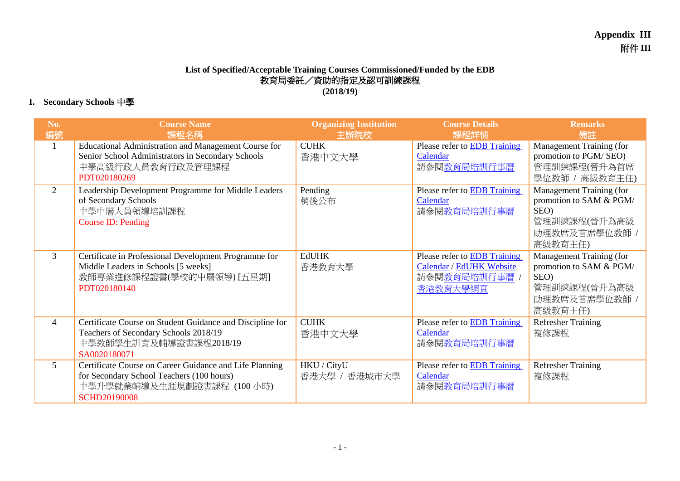## **List of Specified/Acceptable Training Courses Commissioned/Funded by the EDB** 教育局委託/資助的指定及認可訓練課程 **(2018/19)**

## **I. Secondary Schools** 中學

| No.<br>編號      | <b>Course Name</b><br>課程名稱                                                                                                                                | <b>Organizing Institution</b><br>主辦院校 | <b>Course Details</b><br>課程詳情                                                              | <b>Remarks</b><br>備註                                                                                    |
|----------------|-----------------------------------------------------------------------------------------------------------------------------------------------------------|---------------------------------------|--------------------------------------------------------------------------------------------|---------------------------------------------------------------------------------------------------------|
| $\mathbf{1}$   | Educational Administration and Management Course for<br>Senior School Administrators in Secondary Schools<br>中學高級行政人員教育行政及管理課程<br>PDT020180269            | <b>CUHK</b><br>香港中文大學                 | Please refer to <b>EDB</b> Training<br>Calendar<br>請參閱教育局培訓行事曆                             | Management Training (for<br>promotion to PGM/SEO)<br>管理訓練課程(晉升為首席<br>學位教師 / 高級教育主任)                     |
| $\overline{2}$ | Leadership Development Programme for Middle Leaders<br>of Secondary Schools<br>中學中層人員領導培訓課程<br><b>Course ID: Pending</b>                                  | Pending<br>稍後公布                       | Please refer to <b>EDB</b> Training<br>Calendar<br>請參閱教育局培訓行事曆                             | Management Training (for<br>promotion to SAM & PGM/<br>SEO)<br>管理訓練課程(晉升為高級<br>助理教席及首席學位教師 /<br>高級教育主任) |
| $\overline{3}$ | Certificate in Professional Development Programme for<br>Middle Leaders in Schools [5 weeks]<br>教師專業進修課程證書(學校的中層領導) [五星期]<br>PDT020180140                 | <b>EdUHK</b><br>香港教育大學                | Please refer to <b>EDB</b> Training<br>Calendar / EdUHK Website<br>請參閱教育局培訓行事曆<br>香港教育大學網頁 | Management Training (for<br>promotion to SAM & PGM/<br>SEO)<br>管理訓練課程(晉升為高級<br>助理教席及首席學位教師 /<br>高級教育主任) |
| $\overline{4}$ | Certificate Course on Student Guidance and Discipline for<br>Teachers of Secondary Schools 2018/19<br>中學教師學生訓育及輔導證書課程2018/19<br>SA0020180071              | <b>CUHK</b><br>香港中文大學                 | Please refer to <b>EDB</b> Training<br>Calendar<br>請參閱教育局培訓行事曆                             | <b>Refresher Training</b><br>複修課程                                                                       |
| $\mathfrak{S}$ | Certificate Course on Career Guidance and Life Planning<br>for Secondary School Teachers (100 hours)<br>中學升學就業輔導及生涯規劃證書課程 (100 小時)<br><b>SCHD20190008</b> | HKU / CityU<br>香港大學 / 香港城市大學          | Please refer to <b>EDB</b> Training<br>Calendar<br>請參閱教育局培訓行事曆                             | <b>Refresher Training</b><br>複修課程                                                                       |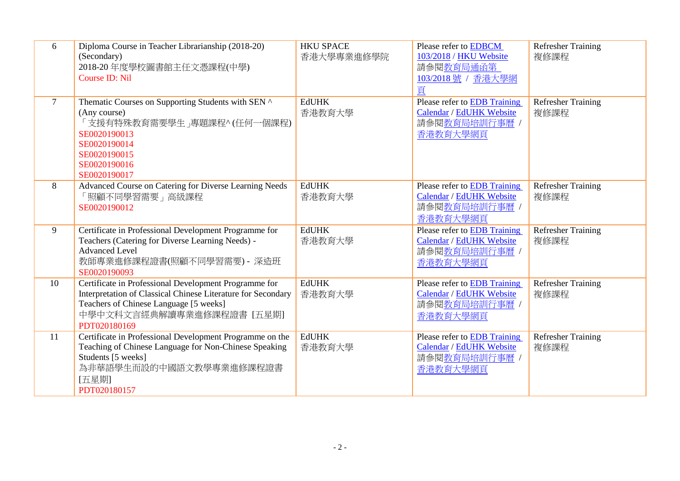| 6              | Diploma Course in Teacher Librarianship (2018-20)<br>(Secondary)<br>2018-20年度學校圖書館主任文憑課程(中學)<br><b>Course ID: Nil</b>                                                                                        | <b>HKU SPACE</b><br>香港大學專業進修學院 | Please refer to <b>EDBCM</b><br>103/2018 / HKU Website<br>請參閱教育局通函第<br>103/2018號 / 香港大學網<br>頁 | <b>Refresher Training</b><br>複修課程 |
|----------------|--------------------------------------------------------------------------------------------------------------------------------------------------------------------------------------------------------------|--------------------------------|-----------------------------------------------------------------------------------------------|-----------------------------------|
| $\overline{7}$ | Thematic Courses on Supporting Students with SEN ^<br>(Any course)<br>「支援有特殊教育需要學生」專題課程^ (任何一個課程)<br>SE0020190013<br>SE0020190014<br>SE0020190015<br>SE0020190016<br>SE0020190017                            | <b>EdUHK</b><br>香港教育大學         | Please refer to EDB Training<br>Calendar / EdUHK Website<br>請參閱教育局培訓行事曆 /<br>香港教育大學網頁         | <b>Refresher Training</b><br>複修課程 |
| 8              | Advanced Course on Catering for Diverse Learning Needs<br>「照顧不同學習需要」高級課程<br>SE0020190012                                                                                                                     | <b>EdUHK</b><br>香港教育大學         | Please refer to EDB Training<br>Calendar / EdUHK Website<br>請參閱教育局培訓行事曆 /<br>香港教育大學網頁         | <b>Refresher Training</b><br>複修課程 |
| 9              | Certificate in Professional Development Programme for<br>Teachers (Catering for Diverse Learning Needs) -<br><b>Advanced Level</b><br>教師專業進修課程證書(照顧不同學習需要) - 深造班<br>SE0020190093                             | <b>EdUHK</b><br>香港教育大學         | Please refer to EDB Training<br>Calendar / EdUHK Website<br>請參閱教育局培訓行事曆 /<br>香港教育大學網頁         | <b>Refresher Training</b><br>複修課程 |
| 10             | Certificate in Professional Development Programme for<br>Interpretation of Classical Chinese Literature for Secondary<br>Teachers of Chinese Language [5 weeks]<br>中學中文科文言經典解讀專業進修課程證書 [五星期]<br>PDT020180169 | <b>EdUHK</b><br>香港教育大學         | Please refer to EDB Training<br>Calendar / EdUHK Website<br>請參閱教育局培訓行事曆 /<br>香港教育大學網頁         | Refresher Training<br>複修課程        |
| 11             | Certificate in Professional Development Programme on the<br>Teaching of Chinese Language for Non-Chinese Speaking<br>Students [5 weeks]<br>為非華語學生而設的中國語文教學專業進修課程證書<br>[五星期]<br>PDT020180157                  | <b>EdUHK</b><br>香港教育大學         | Please refer to EDB Training<br>Calendar / EdUHK Website<br>請參閱教育局培訓行事曆 /<br>香港教育大學網頁         | <b>Refresher Training</b><br>複修課程 |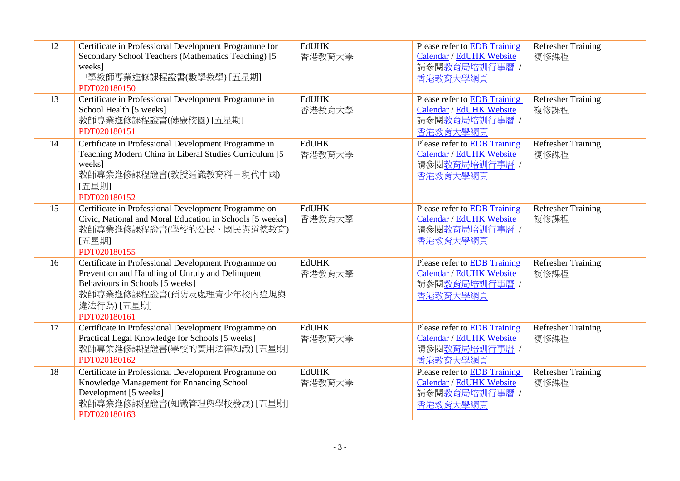| 12<br>13 | Certificate in Professional Development Programme for<br>Secondary School Teachers (Mathematics Teaching) [5]<br>weeks]<br>中學教師專業進修課程證書(數學教學) [五星期]<br>PDT020180150<br>Certificate in Professional Development Programme in | <b>EdUHK</b><br>香港教育大學<br><b>EdUHK</b> | Please refer to EDB Training<br>Calendar / EdUHK Website<br>請參閱教育局培訓行事曆 /<br>香港教育大學網頁<br>Please refer to EDB Training | <b>Refresher Training</b><br>複修課程<br><b>Refresher Training</b> |
|----------|-----------------------------------------------------------------------------------------------------------------------------------------------------------------------------------------------------------------------------|----------------------------------------|-----------------------------------------------------------------------------------------------------------------------|----------------------------------------------------------------|
|          | School Health [5 weeks]<br>教師專業進修課程證書(健康校園) [五星期]<br>PDT020180151                                                                                                                                                           | 香港教育大學                                 | Calendar / EdUHK Website<br>請參閱教育局培訓行事曆 /<br>香港教育大學網頁                                                                 | 複修課程                                                           |
| 14       | Certificate in Professional Development Programme in<br>Teaching Modern China in Liberal Studies Curriculum [5]<br>weeks]<br>教師專業進修課程證書(教授通識教育科-現代中國)<br>[五星期]<br>PDT020180152                                              | <b>EdUHK</b><br>香港教育大學                 | Please refer to EDB Training<br>Calendar / EdUHK Website<br>請參閱教育局培訓行事曆 /<br>香港教育大學網頁                                 | <b>Refresher Training</b><br>複修課程                              |
| 15       | Certificate in Professional Development Programme on<br>Civic, National and Moral Education in Schools [5 weeks]<br>教師專業進修課程證書(學校的公民、國民與道德教育)<br>[五星期]<br>PDT020180155                                                      | <b>EdUHK</b><br>香港教育大學                 | Please refer to <b>EDB</b> Training<br>Calendar / EdUHK Website<br>請參閱教育局培訓行事曆 /<br>香港教育大學網頁                          | <b>Refresher Training</b><br>複修課程                              |
| 16       | Certificate in Professional Development Programme on<br>Prevention and Handling of Unruly and Delinquent<br>Behaviours in Schools [5 weeks]<br>教師專業進修課程證書(預防及處理青少年校內違規與<br>違法行為) [五星期]<br>PDT020180161                      | <b>EdUHK</b><br>香港教育大學                 | Please refer to EDB Training<br>Calendar / EdUHK Website<br>請參閱教育局培訓行事曆 /<br>香港教育大學網頁                                 | <b>Refresher Training</b><br>複修課程                              |
| 17       | Certificate in Professional Development Programme on<br>Practical Legal Knowledge for Schools [5 weeks]<br>教師專業進修課程證書(學校的實用法律知識) [五星期]<br>PDT020180162                                                                      | <b>EdUHK</b><br>香港教育大學                 | Please refer to EDB Training<br>Calendar / EdUHK Website<br>請參閱教育局培訓行事曆 /<br>香港教育大學網頁                                 | <b>Refresher Training</b><br>複修課程                              |
| 18       | Certificate in Professional Development Programme on<br>Knowledge Management for Enhancing School<br>Development [5 weeks]<br>教師專業進修課程證書(知識管理與學校發展) [五星期]<br>PDT020180163                                                   | <b>EdUHK</b><br>香港教育大學                 | Please refer to <b>EDB</b> Training<br>Calendar / EdUHK Website<br>請參閱教育局培訓行事曆 /<br>香港教育大學網頁                          | Refresher Training<br>複修課程                                     |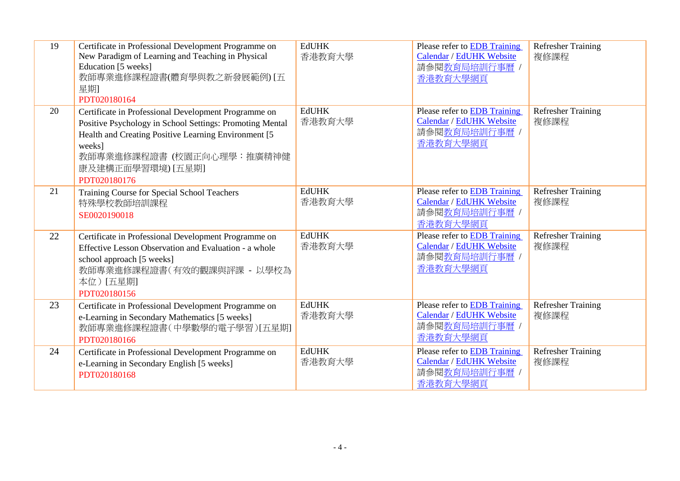| 19 | Certificate in Professional Development Programme on<br>New Paradigm of Learning and Teaching in Physical<br>Education [5 weeks]<br>教師專業進修課程證書(體育學與教之新發展範例) [五<br>星期]<br>PDT020180164                                                                 | <b>EdUHK</b><br>香港教育大學 | Please refer to EDB Training<br>Calendar / EdUHK Website<br>請參閱教育局培訓行事曆 /<br>香港教育大學網頁        | <b>Refresher Training</b><br>複修課程 |
|----|-------------------------------------------------------------------------------------------------------------------------------------------------------------------------------------------------------------------------------------------------------|------------------------|----------------------------------------------------------------------------------------------|-----------------------------------|
| 20 | Certificate in Professional Development Programme on<br>Positive Psychology in School Settings: Promoting Mental<br>Health and Creating Positive Learning Environment [5]<br>weeks]<br>教師專業進修課程證書 (校園正向心理學:推廣精神健<br>康及建構正面學習環境) [五星期]<br>PDT020180176 | <b>EdUHK</b><br>香港教育大學 | Please refer to EDB Training<br>Calendar / EdUHK Website<br>請參閱教育局培訓行事曆 /<br>香港教育大學網頁        | <b>Refresher Training</b><br>複修課程 |
| 21 | Training Course for Special School Teachers<br>特殊學校教師培訓課程<br>SE0020190018                                                                                                                                                                             | <b>EdUHK</b><br>香港教育大學 | Please refer to EDB Training<br>Calendar / EdUHK Website<br>請參閱教育局培訓行事曆 /<br>香港教育大學網頁        | <b>Refresher Training</b><br>複修課程 |
| 22 | Certificate in Professional Development Programme on<br>Effective Lesson Observation and Evaluation - a whole<br>school approach [5 weeks]<br>教師專業進修課程證書(有效的觀課與評課 - 以學校為<br>本位)[五星期]<br>PDT020180156                                                  | <b>EdUHK</b><br>香港教育大學 | Please refer to <b>EDB</b> Training<br>Calendar / EdUHK Website<br>請參閱教育局培訓行事曆 /<br>香港教育大學網頁 | <b>Refresher Training</b><br>複修課程 |
| 23 | Certificate in Professional Development Programme on<br>e-Learning in Secondary Mathematics [5 weeks]<br>教師專業進修課程證書(中學數學的電子學習)[五星期]<br>PDT020180166                                                                                                   | <b>EdUHK</b><br>香港教育大學 | Please refer to EDB Training<br>Calendar / EdUHK Website<br>請參閱教育局培訓行事曆 /<br>香港教育大學網頁        | <b>Refresher Training</b><br>複修課程 |
| 24 | Certificate in Professional Development Programme on<br>e-Learning in Secondary English [5 weeks]<br>PDT020180168                                                                                                                                     | <b>EdUHK</b><br>香港教育大學 | Please refer to EDB Training<br>Calendar / EdUHK Website<br>請參閱教育局培訓行事曆 /<br>香港教育大學網頁        | <b>Refresher Training</b><br>複修課程 |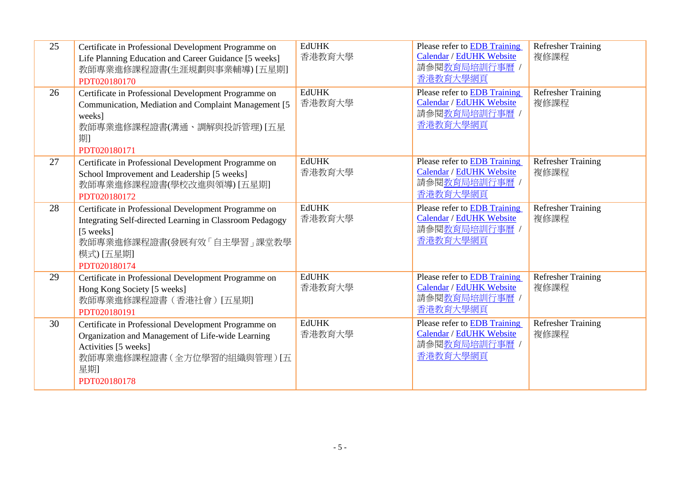| 25 | Certificate in Professional Development Programme on<br>Life Planning Education and Career Guidance [5 weeks]<br>教師專業進修課程證書(生涯規劃與事業輔導) [五星期]<br>PDT020180170                            | <b>EdUHK</b><br>香港教育大學 | Please refer to EDB Training<br>Calendar / EdUHK Website<br>請參閱教育局培訓行事曆 /<br>香港教育大學網頁        | <b>Refresher Training</b><br>複修課程 |
|----|-----------------------------------------------------------------------------------------------------------------------------------------------------------------------------------------|------------------------|----------------------------------------------------------------------------------------------|-----------------------------------|
| 26 | Certificate in Professional Development Programme on<br>Communication, Mediation and Complaint Management [5]<br>weeks]<br>教師專業進修課程證書(溝通、調解與投訴管理) [五星<br>期]<br>PDT020180171             | <b>EdUHK</b><br>香港教育大學 | Please refer to EDB Training<br>Calendar / EdUHK Website<br>請參閱教育局培訓行事曆 /<br>香港教育大學網頁        | <b>Refresher Training</b><br>複修課程 |
| 27 | Certificate in Professional Development Programme on<br>School Improvement and Leadership [5 weeks]<br>教師專業進修課程證書(學校改進與領導) [五星期]<br>PDT020180172                                        | <b>EdUHK</b><br>香港教育大學 | Please refer to EDB Training<br>Calendar / EdUHK Website<br>請參閱教育局培訓行事曆 /<br>香港教育大學網頁        | <b>Refresher Training</b><br>複修課程 |
| 28 | Certificate in Professional Development Programme on<br>Integrating Self-directed Learning in Classroom Pedagogy<br>[5 weeks]<br>教師專業進修課程證書(發展有效「自主學習」課堂教學<br>模式) [五星期]<br>PDT020180174 | <b>EdUHK</b><br>香港教育大學 | Please refer to EDB Training<br>Calendar / EdUHK Website<br>請參閱教育局培訓行事曆 /<br>香港教育大學網頁        | <b>Refresher Training</b><br>複修課程 |
| 29 | Certificate in Professional Development Programme on<br>Hong Kong Society [5 weeks]<br>教師專業進修課程證書(香港社會)[五星期]<br>PDT020180191                                                            | <b>EdUHK</b><br>香港教育大學 | Please refer to <b>EDB</b> Training<br>Calendar / EdUHK Website<br>請參閱教育局培訓行事曆 /<br>香港教育大學網頁 | <b>Refresher Training</b><br>複修課程 |
| 30 | Certificate in Professional Development Programme on<br>Organization and Management of Life-wide Learning<br>Activities [5 weeks]<br>教師專業進修課程證書 (全方位學習的組織與管理) [五<br>星期<br>PDT020180178  | <b>EdUHK</b><br>香港教育大學 | Please refer to EDB Training<br>Calendar / EdUHK Website<br>請參閱教育局培訓行事曆 /<br>香港教育大學網頁        | <b>Refresher Training</b><br>複修課程 |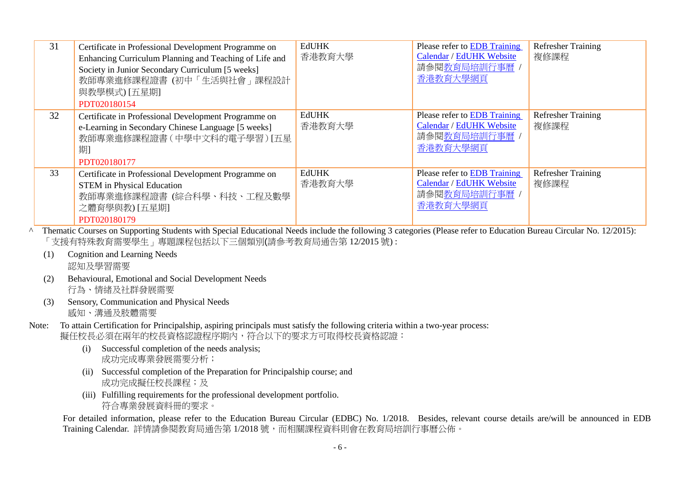| 31 | Certificate in Professional Development Programme on<br>Enhancing Curriculum Planning and Teaching of Life and<br>Society in Junior Secondary Curriculum [5 weeks]<br>教師專業進修課程證書(初中「生活與社會」課程設計<br>與教學模式) [五星期]<br>PDT020180154 | <b>EdUHK</b><br>香港教育大學 | Please refer to <b>EDB</b> Training<br>Calendar / EdUHK Website<br>請參閱教育局培訓行事曆<br>香港教育大學網頁 | <b>Refresher Training</b><br>複修課程 |
|----|--------------------------------------------------------------------------------------------------------------------------------------------------------------------------------------------------------------------------------|------------------------|--------------------------------------------------------------------------------------------|-----------------------------------|
| 32 | Certificate in Professional Development Programme on<br>e-Learning in Secondary Chinese Language [5 weeks]<br>教師專業進修課程證書(中學中文科的電子學習) [五星<br>期<br>PDT020180177                                                                  | <b>EdUHK</b><br>香港教育大學 | Please refer to <b>EDB</b> Training<br>Calendar / EdUHK Website<br>請參閱教育局培訓行事曆<br>香港教育大學網頁 | <b>Refresher Training</b><br>複修課程 |
| 33 | Certificate in Professional Development Programme on<br><b>STEM</b> in Physical Education<br>教師專業進修課程證書 (綜合科學、科技、工程及數學<br>之體育學與教) [五星期]<br>PDT020180179                                                                        | <b>EdUHK</b><br>香港教育大學 | Please refer to <b>EDB</b> Training<br>Calendar / EdUHK Website<br>請參閱教育局培訓行事曆<br>香港教育大學網頁 | <b>Refresher Training</b><br>複修課程 |

- <sup>^</sup> Thematic Courses on Supporting Students with Special Educational Needs include the following 3 categories (Please refer to Education Bureau Circular No. 12/2015): 「支援有特殊教育需要學生」專題課程包括以下三個類別(請參考教育局通告第 12/2015 號) :
	- (1) Cognition and Learning Needs 認知及學習需要
	- (2) Behavioural, Emotional and Social Development Needs 行為、情緒及社群發展需要
	- (3) Sensory, Communication and Physical Needs 感知、溝通及肢體需要
- Note: To attain Certification for Principalship, aspiring principals must satisfy the following criteria within a two-year process: 擬任校長必須在兩年的校長資格認證程序期內,符合以下的要求方可取得校長資格認證:
	- (i) Successful completion of the needs analysis; 成功完成專業發展需要分析;
	- (ii) Successful completion of the Preparation for Principalship course; and 成功完成擬任校長課程;及
	- (iii) Fulfilling requirements for the professional development portfolio. 符合專業發展資料冊的要求。

For detailed information, please refer to the Education Bureau Circular (EDBC) No. 1/2018. Besides, relevant course details are/will be announced in EDB Training Calendar. 詳情請參閱教育局通告第 1/2018 號,而相關課程資料則會在教育局培訓行事曆公佈。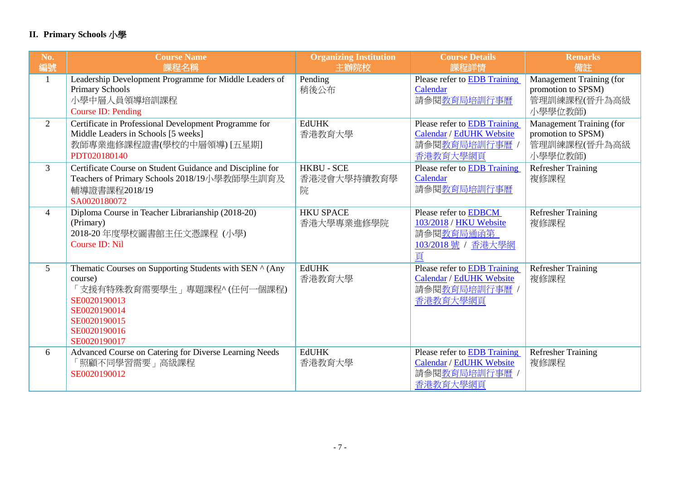## **II. Primary Schools** 小學

| No.            | <b>Course Name</b>                                                                                                                                                               | <b>Organizing Institution</b>         | <b>Course Details</b>                                                                        | <b>Remarks</b>                                                            |
|----------------|----------------------------------------------------------------------------------------------------------------------------------------------------------------------------------|---------------------------------------|----------------------------------------------------------------------------------------------|---------------------------------------------------------------------------|
| 編號             | 課程名稱                                                                                                                                                                             | 主辦院校                                  | 課程詳情                                                                                         | 備註                                                                        |
| 1              | Leadership Development Programme for Middle Leaders of<br><b>Primary Schools</b><br>小學中層人員領導培訓課程<br>Course ID: Pending                                                           | Pending<br>稍後公布                       | Please refer to EDB Training<br>Calendar<br>請參閱教育局培訓行事曆                                      | Management Training (for<br>promotion to SPSM)<br>管理訓練課程(晉升為高級<br>小學學位教師) |
| 2              | Certificate in Professional Development Programme for<br>Middle Leaders in Schools [5 weeks]<br>教師專業進修課程證書(學校的中層領導) [五星期]<br>PDT020180140                                        | <b>EdUHK</b><br>香港教育大學                | Please refer to EDB Training<br>Calendar / EdUHK Website<br>請參閱教育局培訓行事曆<br>香港教育大學網頁          | Management Training (for<br>promotion to SPSM)<br>管理訓練課程(晉升為高級<br>小學學位教師) |
| $\overline{3}$ | Certificate Course on Student Guidance and Discipline for<br>Teachers of Primary Schools 2018/19小學教師學生訓育及<br>輔導證書課程2018/19<br>SA0020180072                                       | <b>HKBU - SCE</b><br>香港浸會大學持續教育學<br>院 | Please refer to EDB Training<br>Calendar<br>請參閱教育局培訓行事曆                                      | <b>Refresher Training</b><br>複修課程                                         |
| $\overline{4}$ | Diploma Course in Teacher Librarianship (2018-20)<br>(Primary)<br>2018-20年度學校圖書館主任文憑課程(小學)<br>Course ID: Nil                                                                     | <b>HKU SPACE</b><br>香港大學專業進修學院        | Please refer to EDBCM<br>103/2018 / HKU Website<br>請參閱教育局通函第<br>103/2018號 / 香港大學網<br>頁       | <b>Refresher Training</b><br>複修課程                                         |
| 5              | Thematic Courses on Supporting Students with SEN ^ (Any<br>course)<br>「支援有特殊教育需要學生」專題課程^(任何一個課程)<br>SE0020190013<br>SE0020190014<br>SE0020190015<br>SE0020190016<br>SE0020190017 | <b>EdUHK</b><br>香港教育大學                | Please refer to EDB Training<br>Calendar / EdUHK Website<br>請參閱教育局培訓行事曆<br>香港教育大學網頁          | <b>Refresher Training</b><br>複修課程                                         |
| 6              | Advanced Course on Catering for Diverse Learning Needs<br>「照顧不同學習需要」高級課程<br>SE0020190012                                                                                         | <b>EdUHK</b><br>香港教育大學                | Please refer to <b>EDB</b> Training<br>Calendar / EdUHK Website<br>請參閱教育局培訓行事曆 /<br>香港教育大學網頁 | <b>Refresher Training</b><br>複修課程                                         |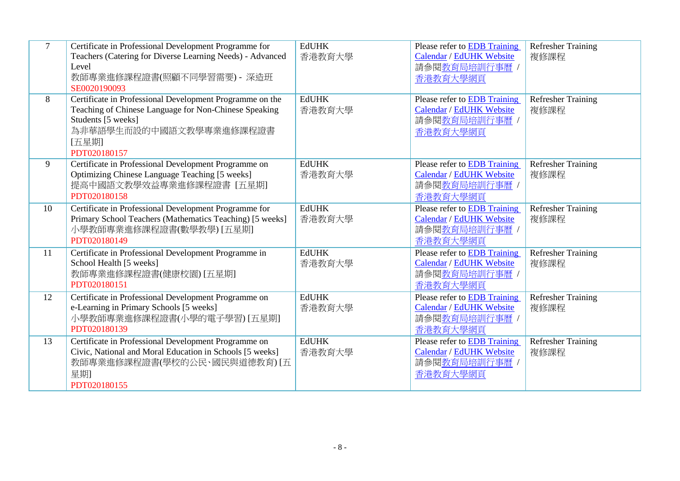| $\overline{7}$ | Certificate in Professional Development Programme for<br>Teachers (Catering for Diverse Learning Needs) - Advanced<br>Level<br>教師專業進修課程證書(照顧不同學習需要) - 深造班<br>SE0020190093                   | <b>EdUHK</b><br>香港教育大學 | Please refer to EDB Training<br>Calendar / EdUHK Website<br>請參閱教育局培訓行事曆 /<br>香港教育大學網頁        | <b>Refresher Training</b><br>複修課程 |
|----------------|---------------------------------------------------------------------------------------------------------------------------------------------------------------------------------------------|------------------------|----------------------------------------------------------------------------------------------|-----------------------------------|
| 8              | Certificate in Professional Development Programme on the<br>Teaching of Chinese Language for Non-Chinese Speaking<br>Students [5 weeks]<br>為非華語學生而設的中國語文教學專業進修課程證書<br>[五星期]<br>PDT020180157 | <b>EdUHK</b><br>香港教育大學 | Please refer to EDB Training<br>Calendar / EdUHK Website<br>請參閱教育局培訓行事曆 /<br>香港教育大學網頁        | <b>Refresher Training</b><br>複修課程 |
| 9              | Certificate in Professional Development Programme on<br>Optimizing Chinese Language Teaching [5 weeks]<br>提高中國語文教學效益專業進修課程證書 [五星期]<br>PDT020180158                                          | <b>EdUHK</b><br>香港教育大學 | Please refer to EDB Training<br>Calendar / EdUHK Website<br>請參閱教育局培訓行事曆 /<br>香港教育大學網頁        | <b>Refresher Training</b><br>複修課程 |
| 10             | Certificate in Professional Development Programme for<br>Primary School Teachers (Mathematics Teaching) [5 weeks]<br>小學教師專業進修課程證書(數學教學) [五星期]<br>PDT020180149                               | <b>EdUHK</b><br>香港教育大學 | Please refer to <b>EDB</b> Training<br>Calendar / EdUHK Website<br>請參閱教育局培訓行事曆 /<br>香港教育大學網頁 | <b>Refresher Training</b><br>複修課程 |
| 11             | Certificate in Professional Development Programme in<br>School Health [5 weeks]<br>教師專業進修課程證書(健康校園) [五星期]<br>PDT020180151                                                                   | <b>EdUHK</b><br>香港教育大學 | Please refer to EDB Training<br>Calendar / EdUHK Website<br>請參閱教育局培訓行事曆 /<br>香港教育大學網頁        | <b>Refresher Training</b><br>複修課程 |
| 12             | Certificate in Professional Development Programme on<br>e-Learning in Primary Schools [5 weeks]<br>小學教師專業進修課程證書(小學的電子學習) [五星期]<br>PDT020180139                                              | <b>EdUHK</b><br>香港教育大學 | Please refer to EDB Training<br>Calendar / EdUHK Website<br>請參閱教育局培訓行事曆<br>香港教育大學網頁          | <b>Refresher Training</b><br>複修課程 |
| 13             | Certificate in Professional Development Programme on<br>Civic, National and Moral Education in Schools [5 weeks]<br>教師專業進修課程證書(學校的公民、國民與道德教育) [五<br>星期<br>PDT020180155                      | <b>EdUHK</b><br>香港教育大學 | Please refer to <b>EDB</b> Training<br>Calendar / EdUHK Website<br>請參閱教育局培訓行事曆 /<br>香港教育大學網頁 | <b>Refresher Training</b><br>複修課程 |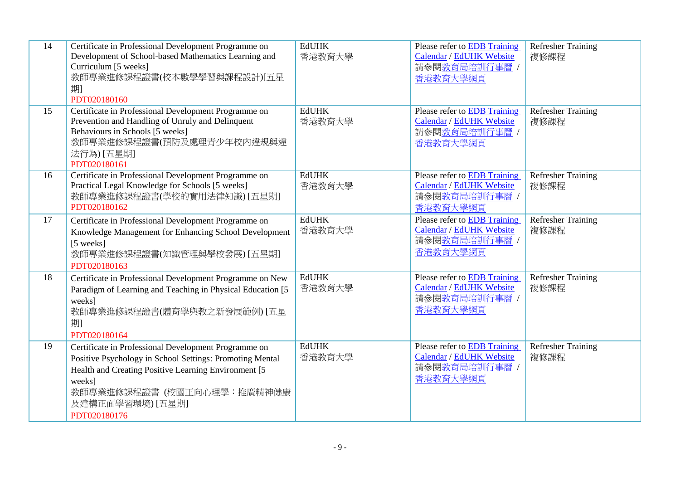| 14 | Certificate in Professional Development Programme on<br>Development of School-based Mathematics Learning and<br>Curriculum [5 weeks]<br>教師專業進修課程證書(校本數學學習與課程設計)[五星<br>期<br>PDT020180160                                                              | <b>EdUHK</b><br>香港教育大學 | <b>Please refer to EDB Training</b><br>Calendar / EdUHK Website<br>請參閱教育局培訓行事曆 /<br>香港教育大學網頁 | Refresher Training<br>複修課程        |
|----|------------------------------------------------------------------------------------------------------------------------------------------------------------------------------------------------------------------------------------------------------|------------------------|----------------------------------------------------------------------------------------------|-----------------------------------|
| 15 | Certificate in Professional Development Programme on<br>Prevention and Handling of Unruly and Delinquent<br>Behaviours in Schools [5 weeks]<br>教師專業進修課程證書(預防及處理青少年校內違規與違<br>法行為) [五星期]<br>PDT020180161                                               | <b>EdUHK</b><br>香港教育大學 | Please refer to EDB Training<br>Calendar / EdUHK Website<br>請參閱教育局培訓行事曆 /<br>香港教育大學網頁        | <b>Refresher Training</b><br>複修課程 |
| 16 | Certificate in Professional Development Programme on<br>Practical Legal Knowledge for Schools [5 weeks]<br>教師專業進修課程證書(學校的實用法律知識) [五星期]<br>PDT020180162                                                                                               | <b>EdUHK</b><br>香港教育大學 | <b>Please refer to EDB Training</b><br>Calendar / EdUHK Website<br>請參閱教育局培訓行事曆 /<br>香港教育大學網頁 | <b>Refresher Training</b><br>複修課程 |
| 17 | Certificate in Professional Development Programme on<br>Knowledge Management for Enhancing School Development<br>[5 weeks]<br>教師專業進修課程證書(知識管理與學校發展) [五星期]<br>PDT020180163                                                                            | <b>EdUHK</b><br>香港教育大學 | <b>Please refer to EDB Training</b><br>Calendar / EdUHK Website<br>請參閱教育局培訓行事曆 /<br>香港教育大學網頁 | <b>Refresher Training</b><br>複修課程 |
| 18 | Certificate in Professional Development Programme on New<br>Paradigm of Learning and Teaching in Physical Education [5]<br>weeks]<br>教師專業進修課程證書(體育學與教之新發展範例) [五星<br>期<br>PDT020180164                                                                | <b>EdUHK</b><br>香港教育大學 | Please refer to EDB Training<br>Calendar / EdUHK Website<br>請參閱教育局培訓行事曆 /<br>香港教育大學網頁        | <b>Refresher Training</b><br>複修課程 |
| 19 | Certificate in Professional Development Programme on<br>Positive Psychology in School Settings: Promoting Mental<br>Health and Creating Positive Learning Environment [5]<br>weeks]<br>教師專業進修課程證書 (校園正向心理學:推廣精神健康<br>及建構正面學習環境)[五星期]<br>PDT020180176 | <b>EdUHK</b><br>香港教育大學 | Please refer to EDB Training<br>Calendar / EdUHK Website<br>請參閱教育局培訓行事曆 /<br>香港教育大學網頁        | <b>Refresher Training</b><br>複修課程 |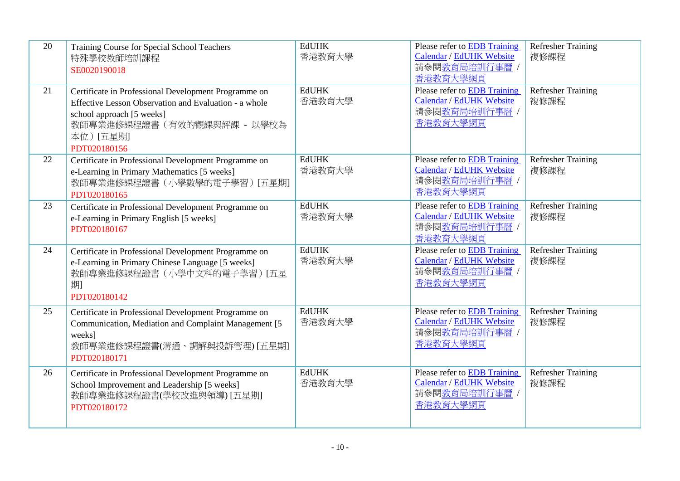| 20 | Training Course for Special School Teachers<br>特殊學校教師培訓課程<br>SE0020190018                                                                                                                             | <b>EdUHK</b><br>香港教育大學 | Please refer to EDB Training<br>Calendar / EdUHK Website<br>請參閱教育局培訓行事曆 /<br>香港教育大學網頁        | <b>Refresher Training</b><br>複修課程 |
|----|-------------------------------------------------------------------------------------------------------------------------------------------------------------------------------------------------------|------------------------|----------------------------------------------------------------------------------------------|-----------------------------------|
| 21 | Certificate in Professional Development Programme on<br>Effective Lesson Observation and Evaluation - a whole<br>school approach [5 weeks]<br>教師專業進修課程證書 (有效的觀課與評課 - 以學校為<br>本位)[五星期]<br>PDT020180156 | <b>EdUHK</b><br>香港教育大學 | Please refer to <b>EDB</b> Training<br>Calendar / EdUHK Website<br>請參閱教育局培訓行事曆 /<br>香港教育大學網頁 | <b>Refresher Training</b><br>複修課程 |
| 22 | Certificate in Professional Development Programme on<br>e-Learning in Primary Mathematics [5 weeks]<br>教師專業進修課程證書(小學數學的電子學習)[五星期]<br>PDT020180165                                                     | <b>EdUHK</b><br>香港教育大學 | Please refer to EDB Training<br>Calendar / EdUHK Website<br>請參閱教育局培訓行事曆 /<br>香港教育大學網頁        | <b>Refresher Training</b><br>複修課程 |
| 23 | Certificate in Professional Development Programme on<br>e-Learning in Primary English [5 weeks]<br>PDT020180167                                                                                       | <b>EdUHK</b><br>香港教育大學 | Please refer to <b>EDB</b> Training<br>Calendar / EdUHK Website<br>請參閱教育局培訓行事曆 /<br>香港教育大學網頁 | <b>Refresher Training</b><br>複修課程 |
| 24 | Certificate in Professional Development Programme on<br>e-Learning in Primary Chinese Language [5 weeks]<br>教師專業進修課程證書(小學中文科的電子學習) [五星<br>期<br>PDT020180142                                           | <b>EdUHK</b><br>香港教育大學 | Please refer to EDB Training<br>Calendar / EdUHK Website<br>請參閱教育局培訓行事曆 /<br>香港教育大學網頁        | <b>Refresher Training</b><br>複修課程 |
| 25 | Certificate in Professional Development Programme on<br>Communication, Mediation and Complaint Management [5]<br>weeks]<br>教師專業進修課程證書(溝通、調解與投訴管理) [五星期]<br>PDT020180171                               | <b>EdUHK</b><br>香港教育大學 | <b>Please refer to EDB Training</b><br>Calendar / EdUHK Website<br>請參閱教育局培訓行事曆 /<br>香港教育大學網頁 | <b>Refresher Training</b><br>複修課程 |
| 26 | Certificate in Professional Development Programme on<br>School Improvement and Leadership [5 weeks]<br>教師專業進修課程證書(學校改進與領導) [五星期]<br>PDT020180172                                                      | <b>EdUHK</b><br>香港教育大學 | Please refer to <b>EDB</b> Training<br>Calendar / EdUHK Website<br>請參閱教育局培訓行事曆 /<br>香港教育大學網頁 | Refresher Training<br>複修課程        |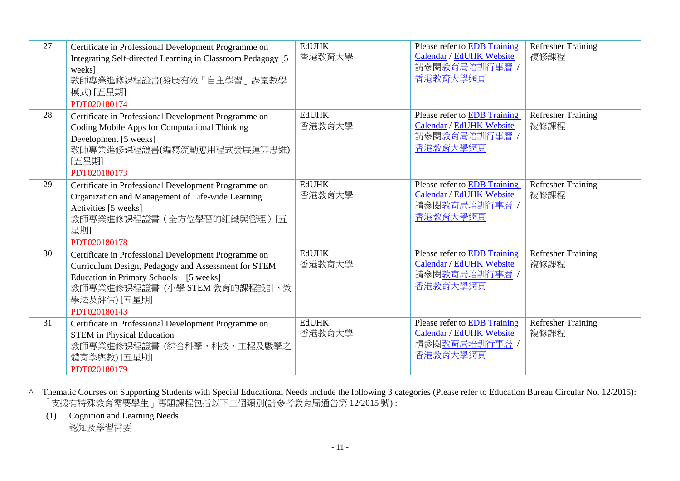| 27 | Certificate in Professional Development Programme on<br>Integrating Self-directed Learning in Classroom Pedagogy [5]<br>weeks]<br>教師專業進修課程證書(發展有效「自主學習」課室教學<br>模式) [五星期]<br>PDT020180174                              | <b>EdUHK</b><br>香港教育大學 | <b>Please refer to EDB Training</b><br>Calendar / EdUHK Website<br>請參閱教育局培訓行事曆 /<br>香港教育大學網頁 | <b>Refresher Training</b><br>複修課程 |
|----|-----------------------------------------------------------------------------------------------------------------------------------------------------------------------------------------------------------------------|------------------------|----------------------------------------------------------------------------------------------|-----------------------------------|
| 28 | Certificate in Professional Development Programme on<br>Coding Mobile Apps for Computational Thinking<br>Development [5 weeks]<br>教師專業進修課程證書(編寫流動應用程式發展運算思維)<br>[五星期]<br>PDT020180173                                 | <b>EdUHK</b><br>香港教育大學 | Please refer to <b>EDB</b> Training<br>Calendar / EdUHK Website<br>請參閱教育局培訓行事曆 /<br>香港教育大學網頁 | <b>Refresher Training</b><br>複修課程 |
| 29 | Certificate in Professional Development Programme on<br>Organization and Management of Life-wide Learning<br>Activities [5 weeks]<br>教師專業進修課程證書(全方位學習的組織與管理)[五<br>星期<br>PDT020180178                                  | <b>EdUHK</b><br>香港教育大學 | <b>Please refer to EDB Training</b><br>Calendar / EdUHK Website<br>請參閱教育局培訓行事曆 /<br>香港教育大學網頁 | <b>Refresher Training</b><br>複修課程 |
| 30 | Certificate in Professional Development Programme on<br>Curriculum Design, Pedagogy and Assessment for STEM<br>Education in Primary Schools [5 weeks]<br>教師專業進修課程證書(小學 STEM 教育的課程設計、教<br>學法及評估) [五星期]<br>PDT020180143 | <b>EdUHK</b><br>香港教育大學 | <b>Please refer to EDB Training</b><br>Calendar / EdUHK Website<br>請參閱教育局培訓行事曆 /<br>香港教育大學網頁 | Refresher Training<br>複修課程        |
| 31 | Certificate in Professional Development Programme on<br><b>STEM</b> in Physical Education<br>教師專業進修課程證書 (綜合科學、科技、工程及數學之<br>體育學與教) [五星期]<br>PDT020180179                                                               | <b>EdUHK</b><br>香港教育大學 | Please refer to EDB Training<br>Calendar / EdUHK Website<br>請參閱教育局培訓行事曆<br>香港教育大學網頁          | Refresher Training<br>複修課程        |

^ Thematic Courses on Supporting Students with Special Educational Needs include the following 3 categories (Please refer to Education Bureau Circular No. 12/2015): 「支援有特殊教育需要學生」專題課程包括以下三個類別(請參考教育局通告第 12/2015 號) :

(1) Cognition and Learning Needs

認知及學習需要